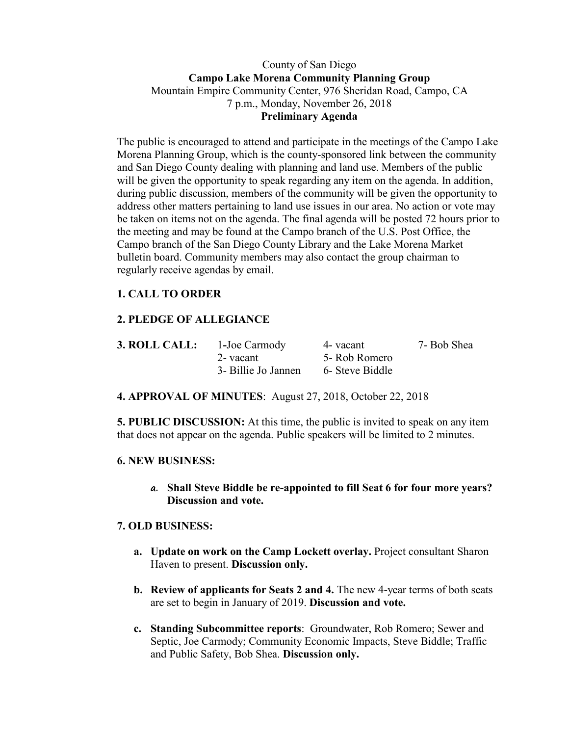## County of San Diego **Campo Lake Morena Community Planning Group** Mountain Empire Community Center, 976 Sheridan Road, Campo, CA 7 p.m., Monday, November 26, 2018 **Preliminary Agenda**

The public is encouraged to attend and participate in the meetings of the Campo Lake Morena Planning Group, which is the county-sponsored link between the community and San Diego County dealing with planning and land use. Members of the public will be given the opportunity to speak regarding any item on the agenda. In addition, during public discussion, members of the community will be given the opportunity to address other matters pertaining to land use issues in our area. No action or vote may be taken on items not on the agenda. The final agenda will be posted 72 hours prior to the meeting and may be found at the Campo branch of the U.S. Post Office, the Campo branch of the San Diego County Library and the Lake Morena Market bulletin board. Community members may also contact the group chairman to regularly receive agendas by email.

# **1. CALL TO ORDER**

# **2. PLEDGE OF ALLEGIANCE**

| 3. ROLL CALL: | 1-Joe Carmody       | 4- vacant       | 7- Bob Shea |
|---------------|---------------------|-----------------|-------------|
|               | 2- vacant           | 5- Rob Romero   |             |
|               | 3- Billie Jo Jannen | 6- Steve Biddle |             |

**4. APPROVAL OF MINUTES**: August 27, 2018, October 22, 2018

**5. PUBLIC DISCUSSION:** At this time, the public is invited to speak on any item that does not appear on the agenda. Public speakers will be limited to 2 minutes.

#### **6. NEW BUSINESS:**

**a. Shall Steve Biddle be re-appointed to fill Seat 6 for four more years? Discussion and vote.** 

#### **7. OLD BUSINESS:**

- **a. Update on work on the Camp Lockett overlay.** Project consultant Sharon Haven to present. **Discussion only.**
- **b. Review of applicants for Seats 2 and 4.** The new 4-year terms of both seats are set to begin in January of 2019. **Discussion and vote.**
- **c. Standing Subcommittee reports**: Groundwater, Rob Romero; Sewer and Septic, Joe Carmody; Community Economic Impacts, Steve Biddle; Traffic and Public Safety, Bob Shea. **Discussion only.**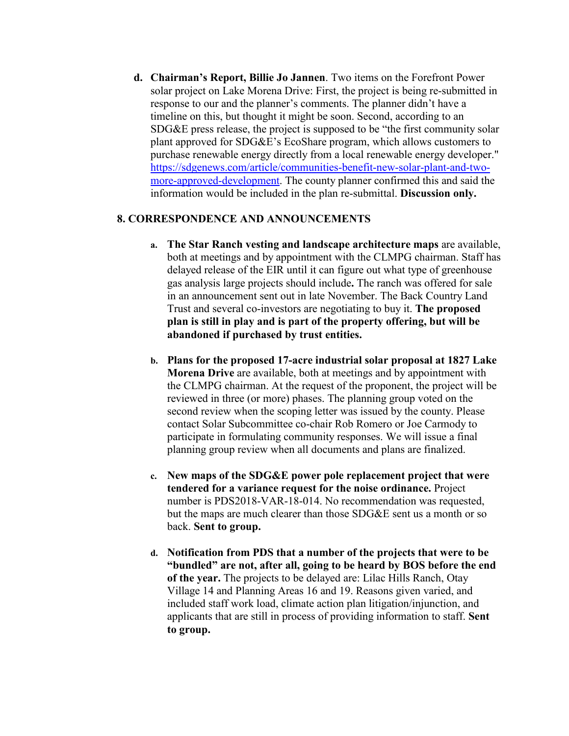**d. Chairman's Report, Billie Jo Jannen**. Two items on the Forefront Power solar project on Lake Morena Drive: First, the project is being re-submitted in response to our and the planner's comments. The planner didn't have a timeline on this, but thought it might be soon. Second, according to an SDG&E press release, the project is supposed to be "the first community solar plant approved for SDG&E's EcoShare program, which allows customers to purchase renewable energy directly from a local renewable energy developer." https://sdgenews.com/article/communities-benefit-new-solar-plant-and-twomore-approved-development. The county planner confirmed this and said the information would be included in the plan re-submittal. **Discussion only.**

#### **8. CORRESPONDENCE AND ANNOUNCEMENTS**

- **a. The Star Ranch vesting and landscape architecture maps** are available, both at meetings and by appointment with the CLMPG chairman. Staff has delayed release of the EIR until it can figure out what type of greenhouse gas analysis large projects should include**.** The ranch was offered for sale in an announcement sent out in late November. The Back Country Land Trust and several co-investors are negotiating to buy it. **The proposed plan is still in play and is part of the property offering, but will be abandoned if purchased by trust entities.**
- **b. Plans for the proposed 17-acre industrial solar proposal at 1827 Lake Morena Drive** are available, both at meetings and by appointment with the CLMPG chairman. At the request of the proponent, the project will be reviewed in three (or more) phases. The planning group voted on the second review when the scoping letter was issued by the county. Please contact Solar Subcommittee co-chair Rob Romero or Joe Carmody to participate in formulating community responses. We will issue a final planning group review when all documents and plans are finalized.
- **c. New maps of the SDG&E power pole replacement project that were tendered for a variance request for the noise ordinance.** Project number is PDS2018-VAR-18-014. No recommendation was requested, but the maps are much clearer than those SDG&E sent us a month or so back. **Sent to group.**
- **d. Notification from PDS that a number of the projects that were to be "bundled" are not, after all, going to be heard by BOS before the end of the year.** The projects to be delayed are: Lilac Hills Ranch, Otay Village 14 and Planning Areas 16 and 19. Reasons given varied, and included staff work load, climate action plan litigation/injunction, and applicants that are still in process of providing information to staff. **Sent to group.**